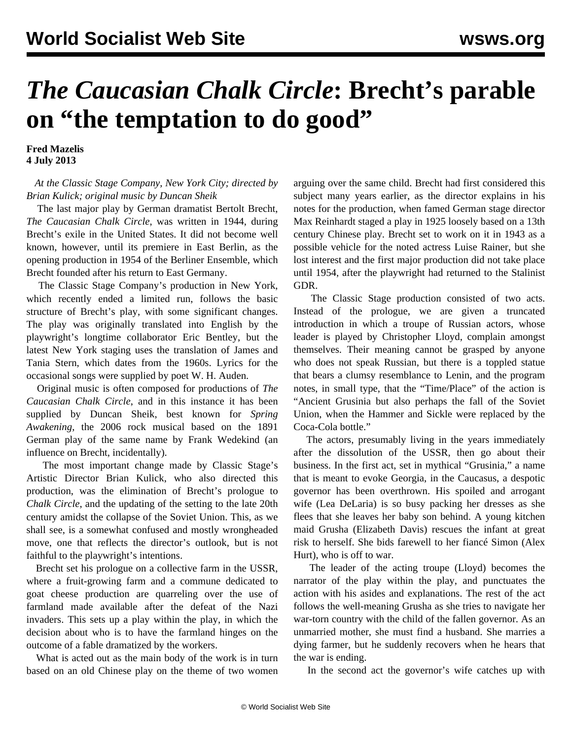## *The Caucasian Chalk Circle***: Brecht's parable on "the temptation to do good"**

**Fred Mazelis 4 July 2013**

## *At the Classic Stage Company, New York City; directed by Brian Kulick; original music by Duncan Sheik*

 The last major play by German dramatist Bertolt Brecht, *The Caucasian Chalk Circle*, was written in 1944, during Brecht's exile in the United States. It did not become well known, however, until its premiere in East Berlin, as the opening production in 1954 of the Berliner Ensemble, which Brecht founded after his return to East Germany.

 The Classic Stage Company's production in New York, which recently ended a limited run, follows the basic structure of Brecht's play, with some significant changes. The play was originally translated into English by the playwright's longtime collaborator Eric Bentley, but the latest New York staging uses the translation of James and Tania Stern, which dates from the 1960s. Lyrics for the occasional songs were supplied by poet W. H. Auden.

 Original music is often composed for productions of *The Caucasian Chalk Circle*, and in this instance it has been supplied by Duncan Sheik, best known for *Spring Awakening*, the 2006 rock musical based on the 1891 German play of the same name by Frank Wedekind (an influence on Brecht, incidentally).

 The most important change made by Classic Stage's Artistic Director Brian Kulick, who also directed this production, was the elimination of Brecht's prologue to *Chalk Circle*, and the updating of the setting to the late 20th century amidst the collapse of the Soviet Union. This, as we shall see, is a somewhat confused and mostly wrongheaded move, one that reflects the director's outlook, but is not faithful to the playwright's intentions.

 Brecht set his prologue on a collective farm in the USSR, where a fruit-growing farm and a commune dedicated to goat cheese production are quarreling over the use of farmland made available after the defeat of the Nazi invaders. This sets up a play within the play, in which the decision about who is to have the farmland hinges on the outcome of a fable dramatized by the workers.

 What is acted out as the main body of the work is in turn based on an old Chinese play on the theme of two women arguing over the same child. Brecht had first considered this subject many years earlier, as the director explains in his notes for the production, when famed German stage director Max Reinhardt staged a play in 1925 loosely based on a 13th century Chinese play. Brecht set to work on it in 1943 as a possible vehicle for the noted actress Luise Rainer, but she lost interest and the first major production did not take place until 1954, after the playwright had returned to the Stalinist GDR.

 The Classic Stage production consisted of two acts. Instead of the prologue, we are given a truncated introduction in which a troupe of Russian actors, whose leader is played by Christopher Lloyd, complain amongst themselves. Their meaning cannot be grasped by anyone who does not speak Russian, but there is a toppled statue that bears a clumsy resemblance to Lenin, and the program notes, in small type, that the "Time/Place" of the action is "Ancient Grusinia but also perhaps the fall of the Soviet Union, when the Hammer and Sickle were replaced by the Coca-Cola bottle."

 The actors, presumably living in the years immediately after the dissolution of the USSR, then go about their business. In the first act, set in mythical "Grusinia," a name that is meant to evoke Georgia, in the Caucasus, a despotic governor has been overthrown. His spoiled and arrogant wife (Lea DeLaria) is so busy packing her dresses as she flees that she leaves her baby son behind. A young kitchen maid Grusha (Elizabeth Davis) rescues the infant at great risk to herself. She bids farewell to her fiancé Simon (Alex Hurt), who is off to war.

 The leader of the acting troupe (Lloyd) becomes the narrator of the play within the play, and punctuates the action with his asides and explanations. The rest of the act follows the well-meaning Grusha as she tries to navigate her war-torn country with the child of the fallen governor. As an unmarried mother, she must find a husband. She marries a dying farmer, but he suddenly recovers when he hears that the war is ending.

In the second act the governor's wife catches up with